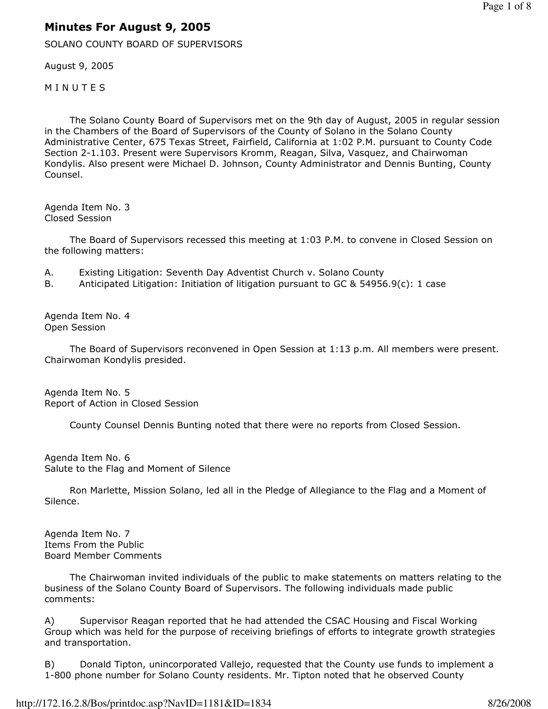# Minutes For August 9, 2005

SOLANO COUNTY BOARD OF SUPERVISORS

August 9, 2005

**MINUTES** 

 The Solano County Board of Supervisors met on the 9th day of August, 2005 in regular session in the Chambers of the Board of Supervisors of the County of Solano in the Solano County Administrative Center, 675 Texas Street, Fairfield, California at 1:02 P.M. pursuant to County Code Section 2-1.103. Present were Supervisors Kromm, Reagan, Silva, Vasquez, and Chairwoman Kondylis. Also present were Michael D. Johnson, County Administrator and Dennis Bunting, County Counsel.

Agenda Item No. 3 Closed Session

 The Board of Supervisors recessed this meeting at 1:03 P.M. to convene in Closed Session on the following matters:

- A. Existing Litigation: Seventh Day Adventist Church v. Solano County
- B. Anticipated Litigation: Initiation of litigation pursuant to GC & 54956.9(c): 1 case

Agenda Item No. 4 Open Session

 The Board of Supervisors reconvened in Open Session at 1:13 p.m. All members were present. Chairwoman Kondylis presided.

Agenda Item No. 5 Report of Action in Closed Session

County Counsel Dennis Bunting noted that there were no reports from Closed Session.

Agenda Item No. 6 Salute to the Flag and Moment of Silence

 Ron Marlette, Mission Solano, led all in the Pledge of Allegiance to the Flag and a Moment of Silence.

Agenda Item No. 7 Items From the Public Board Member Comments

 The Chairwoman invited individuals of the public to make statements on matters relating to the business of the Solano County Board of Supervisors. The following individuals made public comments:

A) Supervisor Reagan reported that he had attended the CSAC Housing and Fiscal Working Group which was held for the purpose of receiving briefings of efforts to integrate growth strategies and transportation.

B) Donald Tipton, unincorporated Vallejo, requested that the County use funds to implement a 1-800 phone number for Solano County residents. Mr. Tipton noted that he observed County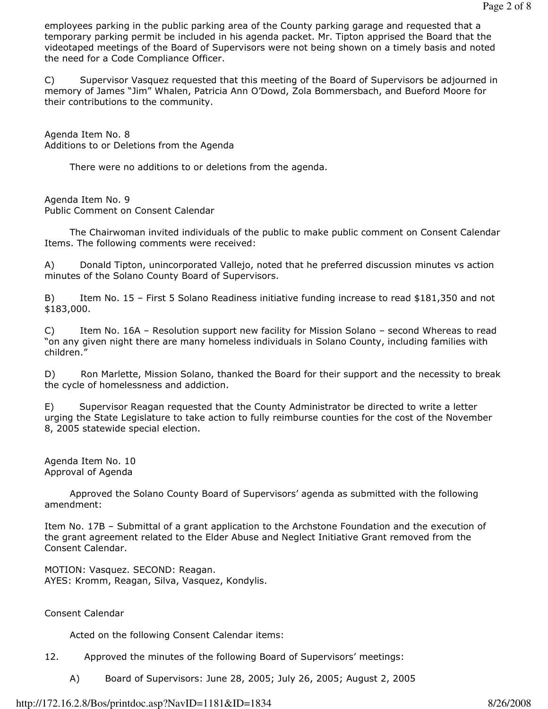employees parking in the public parking area of the County parking garage and requested that a temporary parking permit be included in his agenda packet. Mr. Tipton apprised the Board that the videotaped meetings of the Board of Supervisors were not being shown on a timely basis and noted the need for a Code Compliance Officer.

C) Supervisor Vasquez requested that this meeting of the Board of Supervisors be adjourned in memory of James "Jim" Whalen, Patricia Ann O'Dowd, Zola Bommersbach, and Bueford Moore for their contributions to the community.

Agenda Item No. 8 Additions to or Deletions from the Agenda

There were no additions to or deletions from the agenda.

Agenda Item No. 9 Public Comment on Consent Calendar

 The Chairwoman invited individuals of the public to make public comment on Consent Calendar Items. The following comments were received:

A) Donald Tipton, unincorporated Vallejo, noted that he preferred discussion minutes vs action minutes of the Solano County Board of Supervisors.

B) Item No. 15 - First 5 Solano Readiness initiative funding increase to read \$181,350 and not \$183,000.

C) Item No. 16A – Resolution support new facility for Mission Solano – second Whereas to read "on any given night there are many homeless individuals in Solano County, including families with children."

D) Ron Marlette, Mission Solano, thanked the Board for their support and the necessity to break the cycle of homelessness and addiction.

E) Supervisor Reagan requested that the County Administrator be directed to write a letter urging the State Legislature to take action to fully reimburse counties for the cost of the November 8, 2005 statewide special election.

Agenda Item No. 10 Approval of Agenda

 Approved the Solano County Board of Supervisors' agenda as submitted with the following amendment:

Item No. 17B – Submittal of a grant application to the Archstone Foundation and the execution of the grant agreement related to the Elder Abuse and Neglect Initiative Grant removed from the Consent Calendar.

MOTION: Vasquez. SECOND: Reagan. AYES: Kromm, Reagan, Silva, Vasquez, Kondylis.

# Consent Calendar

Acted on the following Consent Calendar items:

- 12. Approved the minutes of the following Board of Supervisors' meetings:
	- A) Board of Supervisors: June 28, 2005; July 26, 2005; August 2, 2005

## http://172.16.2.8/Bos/printdoc.asp?NavID=1181&ID=1834 8/26/2008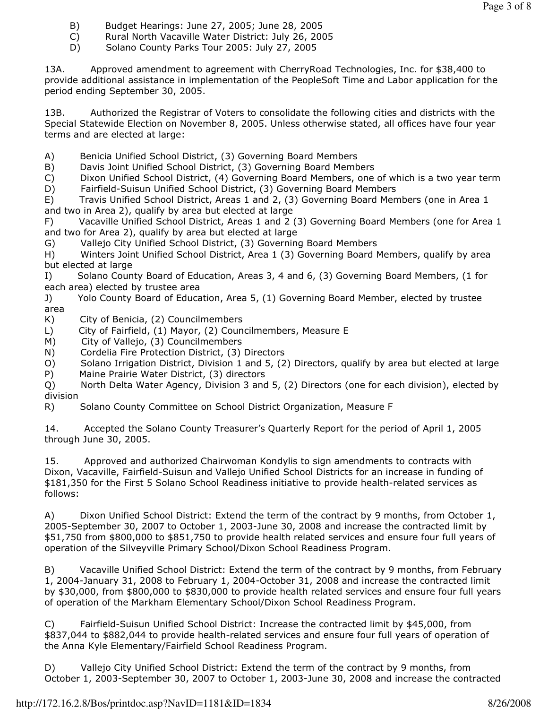- B) Budget Hearings: June 27, 2005; June 28, 2005
- C) Rural North Vacaville Water District: July 26, 2005
- D) Solano County Parks Tour 2005: July 27, 2005

13A. Approved amendment to agreement with CherryRoad Technologies, Inc. for \$38,400 to provide additional assistance in implementation of the PeopleSoft Time and Labor application for the period ending September 30, 2005.

13B. Authorized the Registrar of Voters to consolidate the following cities and districts with the Special Statewide Election on November 8, 2005. Unless otherwise stated, all offices have four year terms and are elected at large:

- A) Benicia Unified School District, (3) Governing Board Members
- B) Davis Joint Unified School District, (3) Governing Board Members

C) Dixon Unified School District, (4) Governing Board Members, one of which is a two year term D) Fairfield-Suisun Unified School District, (3) Governing Board Members

E) Travis Unified School District, Areas 1 and 2, (3) Governing Board Members (one in Area 1 and two in Area 2), qualify by area but elected at large

F) Vacaville Unified School District, Areas 1 and 2 (3) Governing Board Members (one for Area 1 and two for Area 2), qualify by area but elected at large

G) Vallejo City Unified School District, (3) Governing Board Members

H) Winters Joint Unified School District, Area 1 (3) Governing Board Members, qualify by area but elected at large

I) Solano County Board of Education, Areas 3, 4 and 6, (3) Governing Board Members, (1 for each area) elected by trustee area

J) Yolo County Board of Education, Area 5, (1) Governing Board Member, elected by trustee area

- K) City of Benicia, (2) Councilmembers
- L) City of Fairfield, (1) Mayor, (2) Councilmembers, Measure E
- M) City of Vallejo, (3) Councilmembers
- N) Cordelia Fire Protection District, (3) Directors
- O) Solano Irrigation District, Division 1 and 5, (2) Directors, qualify by area but elected at large
- P) Maine Prairie Water District, (3) directors

Q) North Delta Water Agency, Division 3 and 5, (2) Directors (one for each division), elected by division

R) Solano County Committee on School District Organization, Measure F

14. Accepted the Solano County Treasurer's Quarterly Report for the period of April 1, 2005 through June 30, 2005.

15. Approved and authorized Chairwoman Kondylis to sign amendments to contracts with Dixon, Vacaville, Fairfield-Suisun and Vallejo Unified School Districts for an increase in funding of \$181,350 for the First 5 Solano School Readiness initiative to provide health-related services as follows:

A) Dixon Unified School District: Extend the term of the contract by 9 months, from October 1, 2005-September 30, 2007 to October 1, 2003-June 30, 2008 and increase the contracted limit by \$51,750 from \$800,000 to \$851,750 to provide health related services and ensure four full years of operation of the Silveyville Primary School/Dixon School Readiness Program.

B) Vacaville Unified School District: Extend the term of the contract by 9 months, from February 1, 2004-January 31, 2008 to February 1, 2004-October 31, 2008 and increase the contracted limit by \$30,000, from \$800,000 to \$830,000 to provide health related services and ensure four full years of operation of the Markham Elementary School/Dixon School Readiness Program.

C) Fairfield-Suisun Unified School District: Increase the contracted limit by \$45,000, from \$837,044 to \$882,044 to provide health-related services and ensure four full years of operation of the Anna Kyle Elementary/Fairfield School Readiness Program.

D) Vallejo City Unified School District: Extend the term of the contract by 9 months, from October 1, 2003-September 30, 2007 to October 1, 2003-June 30, 2008 and increase the contracted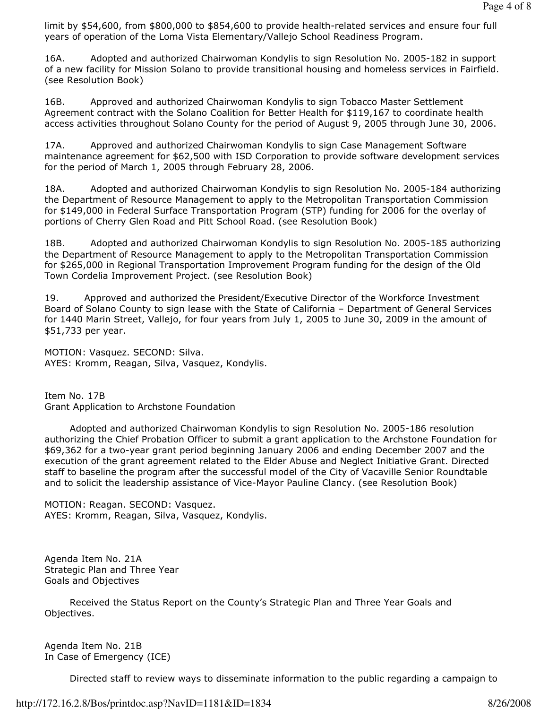limit by \$54,600, from \$800,000 to \$854,600 to provide health-related services and ensure four full years of operation of the Loma Vista Elementary/Vallejo School Readiness Program.

16A. Adopted and authorized Chairwoman Kondylis to sign Resolution No. 2005-182 in support of a new facility for Mission Solano to provide transitional housing and homeless services in Fairfield. (see Resolution Book)

16B. Approved and authorized Chairwoman Kondylis to sign Tobacco Master Settlement Agreement contract with the Solano Coalition for Better Health for \$119,167 to coordinate health access activities throughout Solano County for the period of August 9, 2005 through June 30, 2006.

17A. Approved and authorized Chairwoman Kondylis to sign Case Management Software maintenance agreement for \$62,500 with ISD Corporation to provide software development services for the period of March 1, 2005 through February 28, 2006.

18A. Adopted and authorized Chairwoman Kondylis to sign Resolution No. 2005-184 authorizing the Department of Resource Management to apply to the Metropolitan Transportation Commission for \$149,000 in Federal Surface Transportation Program (STP) funding for 2006 for the overlay of portions of Cherry Glen Road and Pitt School Road. (see Resolution Book)

18B. Adopted and authorized Chairwoman Kondylis to sign Resolution No. 2005-185 authorizing the Department of Resource Management to apply to the Metropolitan Transportation Commission for \$265,000 in Regional Transportation Improvement Program funding for the design of the Old Town Cordelia Improvement Project. (see Resolution Book)

19. Approved and authorized the President/Executive Director of the Workforce Investment Board of Solano County to sign lease with the State of California – Department of General Services for 1440 Marin Street, Vallejo, for four years from July 1, 2005 to June 30, 2009 in the amount of \$51,733 per year.

MOTION: Vasquez. SECOND: Silva. AYES: Kromm, Reagan, Silva, Vasquez, Kondylis.

Item No. 17B Grant Application to Archstone Foundation

 Adopted and authorized Chairwoman Kondylis to sign Resolution No. 2005-186 resolution authorizing the Chief Probation Officer to submit a grant application to the Archstone Foundation for \$69,362 for a two-year grant period beginning January 2006 and ending December 2007 and the execution of the grant agreement related to the Elder Abuse and Neglect Initiative Grant. Directed staff to baseline the program after the successful model of the City of Vacaville Senior Roundtable and to solicit the leadership assistance of Vice-Mayor Pauline Clancy. (see Resolution Book)

MOTION: Reagan. SECOND: Vasquez. AYES: Kromm, Reagan, Silva, Vasquez, Kondylis.

Agenda Item No. 21A Strategic Plan and Three Year Goals and Objectives

 Received the Status Report on the County's Strategic Plan and Three Year Goals and Objectives.

Agenda Item No. 21B In Case of Emergency (ICE)

Directed staff to review ways to disseminate information to the public regarding a campaign to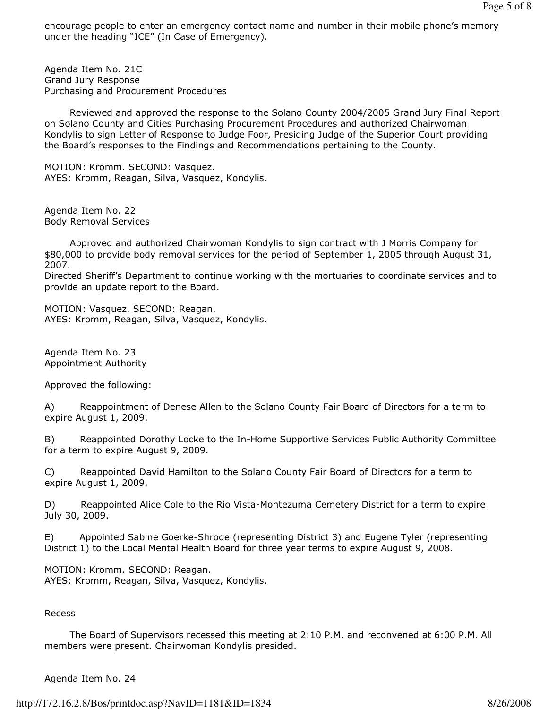encourage people to enter an emergency contact name and number in their mobile phone's memory under the heading "ICE" (In Case of Emergency).

Agenda Item No. 21C Grand Jury Response Purchasing and Procurement Procedures

 Reviewed and approved the response to the Solano County 2004/2005 Grand Jury Final Report on Solano County and Cities Purchasing Procurement Procedures and authorized Chairwoman Kondylis to sign Letter of Response to Judge Foor, Presiding Judge of the Superior Court providing the Board's responses to the Findings and Recommendations pertaining to the County.

MOTION: Kromm. SECOND: Vasquez. AYES: Kromm, Reagan, Silva, Vasquez, Kondylis.

Agenda Item No. 22 Body Removal Services

 Approved and authorized Chairwoman Kondylis to sign contract with J Morris Company for \$80,000 to provide body removal services for the period of September 1, 2005 through August 31, 2007.

Directed Sheriff's Department to continue working with the mortuaries to coordinate services and to provide an update report to the Board.

MOTION: Vasquez. SECOND: Reagan. AYES: Kromm, Reagan, Silva, Vasquez, Kondylis.

Agenda Item No. 23 Appointment Authority

Approved the following:

A) Reappointment of Denese Allen to the Solano County Fair Board of Directors for a term to expire August 1, 2009.

B) Reappointed Dorothy Locke to the In-Home Supportive Services Public Authority Committee for a term to expire August 9, 2009.

C) Reappointed David Hamilton to the Solano County Fair Board of Directors for a term to expire August 1, 2009.

D) Reappointed Alice Cole to the Rio Vista-Montezuma Cemetery District for a term to expire July 30, 2009.

E) Appointed Sabine Goerke-Shrode (representing District 3) and Eugene Tyler (representing District 1) to the Local Mental Health Board for three year terms to expire August 9, 2008.

MOTION: Kromm. SECOND: Reagan. AYES: Kromm, Reagan, Silva, Vasquez, Kondylis.

## Recess

 The Board of Supervisors recessed this meeting at 2:10 P.M. and reconvened at 6:00 P.M. All members were present. Chairwoman Kondylis presided.

## Agenda Item No. 24

http://172.16.2.8/Bos/printdoc.asp?NavID=1181&ID=1834 8/26/2008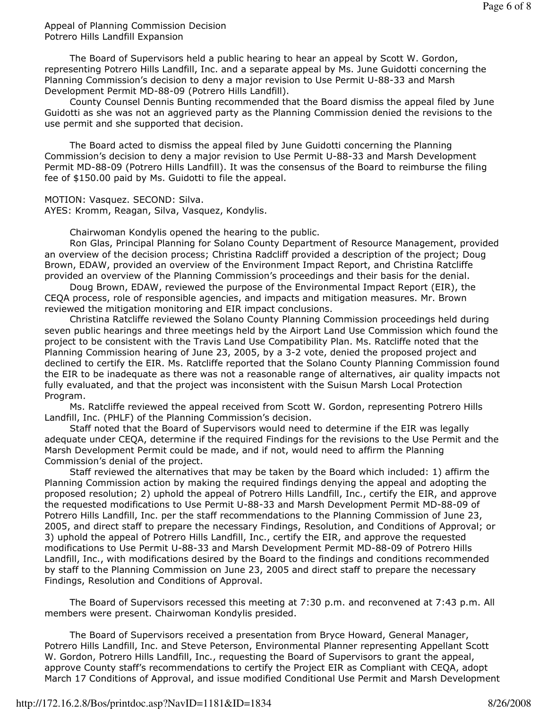Appeal of Planning Commission Decision Potrero Hills Landfill Expansion

 The Board of Supervisors held a public hearing to hear an appeal by Scott W. Gordon, representing Potrero Hills Landfill, Inc. and a separate appeal by Ms. June Guidotti concerning the Planning Commission's decision to deny a major revision to Use Permit U-88-33 and Marsh Development Permit MD-88-09 (Potrero Hills Landfill).

 County Counsel Dennis Bunting recommended that the Board dismiss the appeal filed by June Guidotti as she was not an aggrieved party as the Planning Commission denied the revisions to the use permit and she supported that decision.

 The Board acted to dismiss the appeal filed by June Guidotti concerning the Planning Commission's decision to deny a major revision to Use Permit U-88-33 and Marsh Development Permit MD-88-09 (Potrero Hills Landfill). It was the consensus of the Board to reimburse the filing fee of \$150.00 paid by Ms. Guidotti to file the appeal.

MOTION: Vasquez. SECOND: Silva.

AYES: Kromm, Reagan, Silva, Vasquez, Kondylis.

Chairwoman Kondylis opened the hearing to the public.

 Ron Glas, Principal Planning for Solano County Department of Resource Management, provided an overview of the decision process; Christina Radcliff provided a description of the project; Doug Brown, EDAW, provided an overview of the Environment Impact Report, and Christina Ratcliffe provided an overview of the Planning Commission's proceedings and their basis for the denial.

 Doug Brown, EDAW, reviewed the purpose of the Environmental Impact Report (EIR), the CEQA process, role of responsible agencies, and impacts and mitigation measures. Mr. Brown reviewed the mitigation monitoring and EIR impact conclusions.

 Christina Ratcliffe reviewed the Solano County Planning Commission proceedings held during seven public hearings and three meetings held by the Airport Land Use Commission which found the project to be consistent with the Travis Land Use Compatibility Plan. Ms. Ratcliffe noted that the Planning Commission hearing of June 23, 2005, by a 3-2 vote, denied the proposed project and declined to certify the EIR. Ms. Ratcliffe reported that the Solano County Planning Commission found the EIR to be inadequate as there was not a reasonable range of alternatives, air quality impacts not fully evaluated, and that the project was inconsistent with the Suisun Marsh Local Protection Program.

 Ms. Ratcliffe reviewed the appeal received from Scott W. Gordon, representing Potrero Hills Landfill, Inc. (PHLF) of the Planning Commission's decision.

 Staff noted that the Board of Supervisors would need to determine if the EIR was legally adequate under CEQA, determine if the required Findings for the revisions to the Use Permit and the Marsh Development Permit could be made, and if not, would need to affirm the Planning Commission's denial of the project.

 Staff reviewed the alternatives that may be taken by the Board which included: 1) affirm the Planning Commission action by making the required findings denying the appeal and adopting the proposed resolution; 2) uphold the appeal of Potrero Hills Landfill, Inc., certify the EIR, and approve the requested modifications to Use Permit U-88-33 and Marsh Development Permit MD-88-09 of Potrero Hills Landfill, Inc. per the staff recommendations to the Planning Commission of June 23, 2005, and direct staff to prepare the necessary Findings, Resolution, and Conditions of Approval; or 3) uphold the appeal of Potrero Hills Landfill, Inc., certify the EIR, and approve the requested modifications to Use Permit U-88-33 and Marsh Development Permit MD-88-09 of Potrero Hills Landfill, Inc., with modifications desired by the Board to the findings and conditions recommended by staff to the Planning Commission on June 23, 2005 and direct staff to prepare the necessary Findings, Resolution and Conditions of Approval.

 The Board of Supervisors recessed this meeting at 7:30 p.m. and reconvened at 7:43 p.m. All members were present. Chairwoman Kondylis presided.

 The Board of Supervisors received a presentation from Bryce Howard, General Manager, Potrero Hills Landfill, Inc. and Steve Peterson, Environmental Planner representing Appellant Scott W. Gordon, Potrero Hills Landfill, Inc., requesting the Board of Supervisors to grant the appeal, approve County staff's recommendations to certify the Project EIR as Compliant with CEQA, adopt March 17 Conditions of Approval, and issue modified Conditional Use Permit and Marsh Development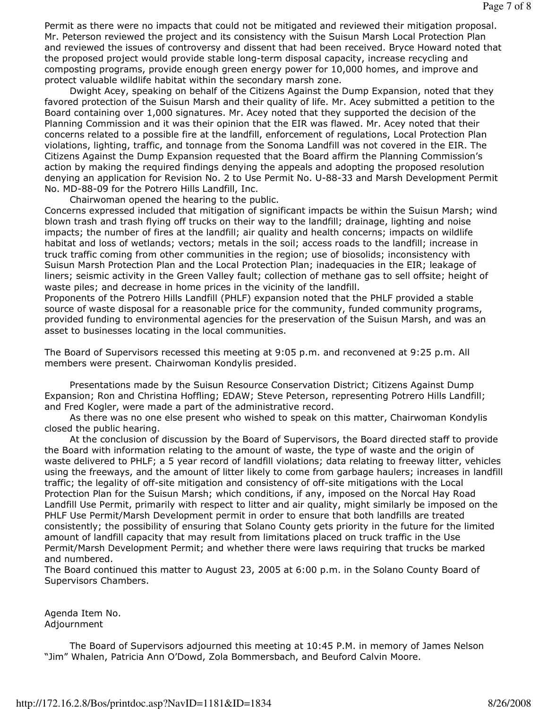Permit as there were no impacts that could not be mitigated and reviewed their mitigation proposal. Mr. Peterson reviewed the project and its consistency with the Suisun Marsh Local Protection Plan and reviewed the issues of controversy and dissent that had been received. Bryce Howard noted that the proposed project would provide stable long-term disposal capacity, increase recycling and composting programs, provide enough green energy power for 10,000 homes, and improve and protect valuable wildlife habitat within the secondary marsh zone.

 Dwight Acey, speaking on behalf of the Citizens Against the Dump Expansion, noted that they favored protection of the Suisun Marsh and their quality of life. Mr. Acey submitted a petition to the Board containing over 1,000 signatures. Mr. Acey noted that they supported the decision of the Planning Commission and it was their opinion that the EIR was flawed. Mr. Acey noted that their concerns related to a possible fire at the landfill, enforcement of regulations, Local Protection Plan violations, lighting, traffic, and tonnage from the Sonoma Landfill was not covered in the EIR. The Citizens Against the Dump Expansion requested that the Board affirm the Planning Commission's action by making the required findings denying the appeals and adopting the proposed resolution denying an application for Revision No. 2 to Use Permit No. U-88-33 and Marsh Development Permit No. MD-88-09 for the Potrero Hills Landfill, Inc.

Chairwoman opened the hearing to the public.

Concerns expressed included that mitigation of significant impacts be within the Suisun Marsh; wind blown trash and trash flying off trucks on their way to the landfill; drainage, lighting and noise impacts; the number of fires at the landfill; air quality and health concerns; impacts on wildlife habitat and loss of wetlands; vectors; metals in the soil; access roads to the landfill; increase in truck traffic coming from other communities in the region; use of biosolids; inconsistency with Suisun Marsh Protection Plan and the Local Protection Plan; inadequacies in the EIR; leakage of liners; seismic activity in the Green Valley fault; collection of methane gas to sell offsite; height of waste piles; and decrease in home prices in the vicinity of the landfill.

Proponents of the Potrero Hills Landfill (PHLF) expansion noted that the PHLF provided a stable source of waste disposal for a reasonable price for the community, funded community programs, provided funding to environmental agencies for the preservation of the Suisun Marsh, and was an asset to businesses locating in the local communities.

The Board of Supervisors recessed this meeting at 9:05 p.m. and reconvened at 9:25 p.m. All members were present. Chairwoman Kondylis presided.

 Presentations made by the Suisun Resource Conservation District; Citizens Against Dump Expansion; Ron and Christina Hoffling; EDAW; Steve Peterson, representing Potrero Hills Landfill; and Fred Kogler, were made a part of the administrative record.

 As there was no one else present who wished to speak on this matter, Chairwoman Kondylis closed the public hearing.

 At the conclusion of discussion by the Board of Supervisors, the Board directed staff to provide the Board with information relating to the amount of waste, the type of waste and the origin of waste delivered to PHLF; a 5 year record of landfill violations; data relating to freeway litter, vehicles using the freeways, and the amount of litter likely to come from garbage haulers; increases in landfill traffic; the legality of off-site mitigation and consistency of off-site mitigations with the Local Protection Plan for the Suisun Marsh; which conditions, if any, imposed on the Norcal Hay Road Landfill Use Permit, primarily with respect to litter and air quality, might similarly be imposed on the PHLF Use Permit/Marsh Development permit in order to ensure that both landfills are treated consistently; the possibility of ensuring that Solano County gets priority in the future for the limited amount of landfill capacity that may result from limitations placed on truck traffic in the Use Permit/Marsh Development Permit; and whether there were laws requiring that trucks be marked and numbered.

The Board continued this matter to August 23, 2005 at 6:00 p.m. in the Solano County Board of Supervisors Chambers.

Agenda Item No. Adjournment

 The Board of Supervisors adjourned this meeting at 10:45 P.M. in memory of James Nelson "Jim" Whalen, Patricia Ann O'Dowd, Zola Bommersbach, and Beuford Calvin Moore.